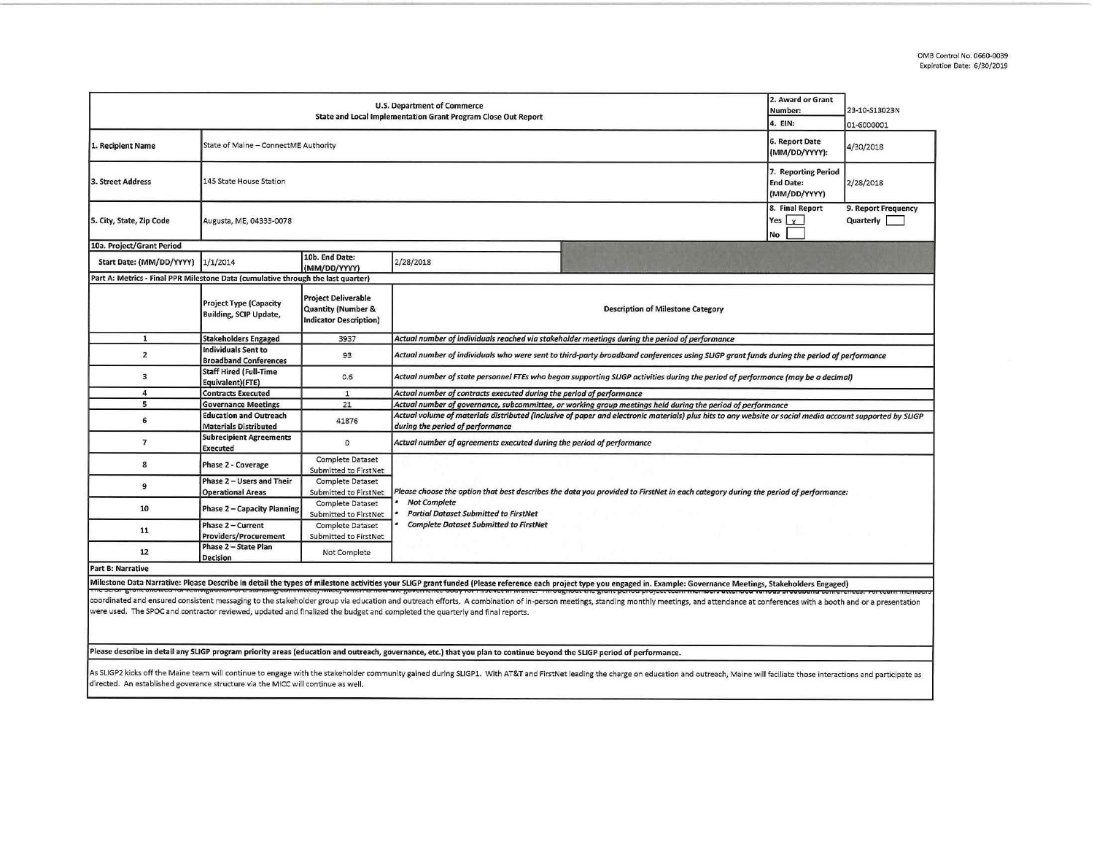| <b>U.S. Department of Commerce</b><br>State and Local Implementation Grant Program Close Out Report |                                                                                                                                                        |                                                                                              |                                                                                                                                                                                              |                                                         | 23-10-S13023N<br>01-6000001      |
|-----------------------------------------------------------------------------------------------------|--------------------------------------------------------------------------------------------------------------------------------------------------------|----------------------------------------------------------------------------------------------|----------------------------------------------------------------------------------------------------------------------------------------------------------------------------------------------|---------------------------------------------------------|----------------------------------|
| 1. Recipient Name                                                                                   | State of Maine - ConnectME Authority                                                                                                                   |                                                                                              |                                                                                                                                                                                              | <b>6. Report Date</b><br>(MM/DD/YYYY):                  | 4/30/2018                        |
| 3. Street Address                                                                                   | 145 State House Station                                                                                                                                |                                                                                              |                                                                                                                                                                                              | 7. Reporting Period<br><b>End Date:</b><br>(MM/DD/YYYY) | 2/28/2018                        |
| 5. City, State, Zip Code                                                                            | Augusta, ME, 04333-0078                                                                                                                                |                                                                                              |                                                                                                                                                                                              | 8. Final Report<br>Yes $x$<br>No                        | 9. Report Frequency<br>Quarterly |
| 10a. Project/Grant Period                                                                           |                                                                                                                                                        |                                                                                              |                                                                                                                                                                                              |                                                         |                                  |
| Start Date: (MM/DD/YYYY)                                                                            | 1/1/2014                                                                                                                                               | 10b. End Date:<br>(MM/DD/YYYY)                                                               | 2/28/2018                                                                                                                                                                                    |                                                         |                                  |
| Part A: Metrics - Final PPR Milestone Data (cumulative through the last quarter)                    |                                                                                                                                                        |                                                                                              |                                                                                                                                                                                              |                                                         |                                  |
|                                                                                                     | <b>Project Type (Capacity</b><br><b>Building, SCIP Update,</b>                                                                                         | <b>Project Deliverable</b><br><b>Quantity (Number &amp;</b><br><b>Indicator Description)</b> | <b>Description of Milestone Category</b>                                                                                                                                                     | 2. Award or Grant<br>Number:<br>4. EIN:                 |                                  |
| 1                                                                                                   | <b>Stakeholders Engaged</b>                                                                                                                            | 3937                                                                                         | Actual number of individuals reached via stakeholder meetings during the period of performance                                                                                               |                                                         |                                  |
| $\overline{2}$                                                                                      | <b>Individuals Sent to</b><br><b>Broadband Conferences</b>                                                                                             | 93                                                                                           | Actual number of individuals who were sent to third-party broadband conferences using SLIGP grant funds during the period of performance                                                     |                                                         |                                  |
| з                                                                                                   | <b>Staff Hired (Full-Time</b><br>Equivalent)(FTE)                                                                                                      | $0.6^{\circ}$                                                                                | Actual number of state personnel FTEs who began supporting SLIGP activities during the period of performance (may be a decimal)                                                              |                                                         |                                  |
| 4                                                                                                   | <b>Contracts Executed</b>                                                                                                                              | $\mathbf{1}$                                                                                 | Actual number of contracts executed during the period of performance                                                                                                                         |                                                         |                                  |
| 5                                                                                                   | <b>Governance Meetings</b>                                                                                                                             | 21                                                                                           | Actual number of governance, subcommittee, or working group meetings held during the period of performance                                                                                   |                                                         |                                  |
| 6                                                                                                   | <b>Education and Outreach</b><br><b>Materials Distributed</b>                                                                                          | 41876                                                                                        | Actual volume of materials distributed (inclusive of paper and electronic materials) plus hits to any website or social media account supported by SLIGP<br>during the period of performance |                                                         |                                  |
| $\overline{7}$                                                                                      | <b>Subrecipient Agreements</b><br><b>Executed</b>                                                                                                      | $\circ$                                                                                      | Actual number of agreements executed during the period of performance                                                                                                                        |                                                         |                                  |
| 8                                                                                                   | Phase 2 - Coverage                                                                                                                                     | <b>Complete Dataset</b><br>Submitted to FirstNet                                             |                                                                                                                                                                                              |                                                         |                                  |
| 9                                                                                                   | Phase 2 - Users and Their<br><b>Operational Areas</b>                                                                                                  | <b>Complete Dataset</b><br>Submitted to FirstNet                                             | Please choose the option that best describes the data you provided to FirstNet in each category during the period of performance:                                                            |                                                         |                                  |
| 10                                                                                                  | <b>Phase 2 - Capacity Planning</b>                                                                                                                     | <b>Complete Dataset</b><br>Submitted to FirstNet                                             | <b>Not Complete</b><br><b>Partial Dataset Submitted to FirstNet</b>                                                                                                                          |                                                         |                                  |
| 11                                                                                                  | <b>Complete Dataset Submitted to FirstNet</b><br>Phase 2 - Current<br><b>Complete Dataset</b><br><b>Providers/Procurement</b><br>Submitted to FirstNet |                                                                                              |                                                                                                                                                                                              |                                                         |                                  |
| 12                                                                                                  | Phase 2 - State Plan<br><b>Decision</b>                                                                                                                | Not Complete                                                                                 |                                                                                                                                                                                              |                                                         |                                  |
| Part B: Narrative                                                                                   |                                                                                                                                                        |                                                                                              |                                                                                                                                                                                              |                                                         |                                  |

Milestone Data Narrative: Please Describe in detail the types of milestone activities your SUGP grant funded (Please reference each project type you engaged in. Example: Governance Meetings, Stakeholders Engaged)

were used. The SPOC and contractor reviewed, updated and finalized the budget and completed the quarterly and final reports. coordinated and ensured consistent messaging to the stakeholder group via education and outreach efforts. A combination of in-person meetings, standing monthly meetings, and attendance at conferences with a booth and or a

Please describe in detail any SLIGP program priority areas (education and outreach, governance, etc.) that you plan to continue beyond the SLIGP period of performance.

directed. An established goverance structure via the MICC will continue as well. As SLIGP2 kicks off the Maine team will continue to engage with the stakeholder community gained during SLIGP1. With AT&T and FirstNet leading the charge on education and outreach, Maine will faciliate those interactions a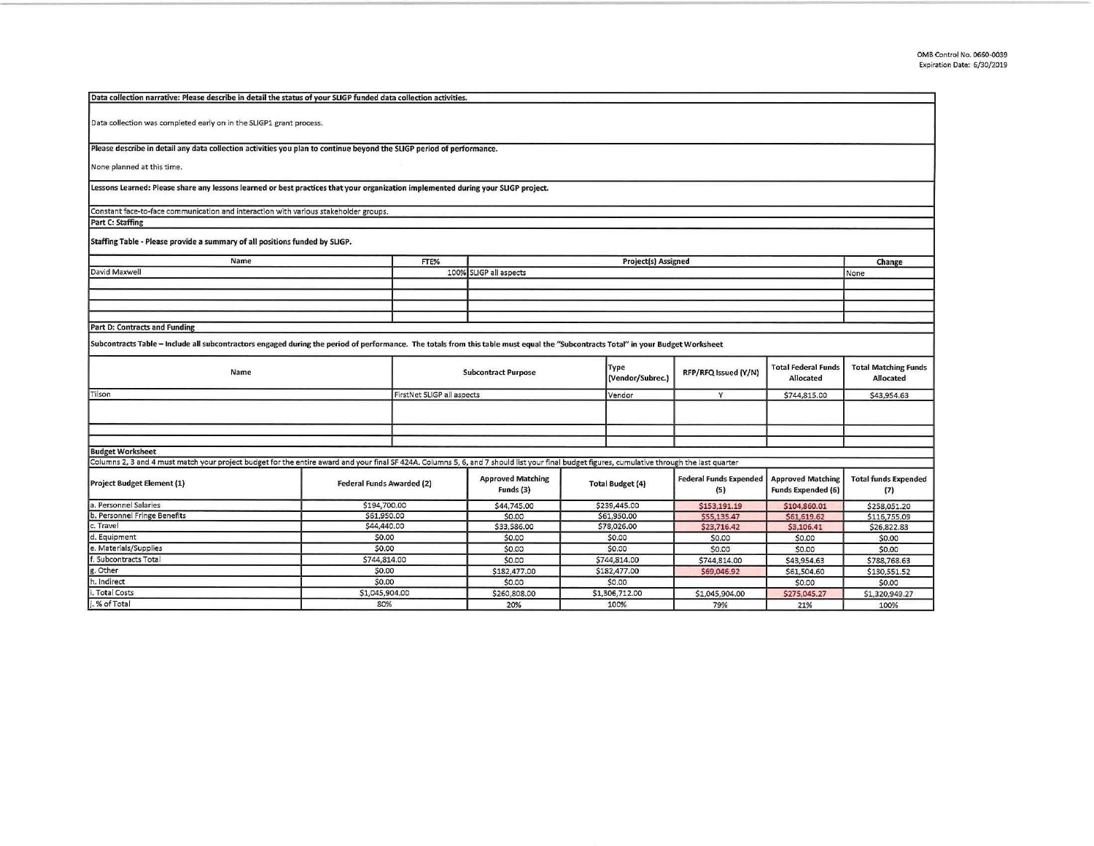| Data collection was completed early on in the SLIGP1 grant process.<br>None planned at this time.<br>Lessons Learned: Please share any lessons learned or best practices that your organization implemented during your SLIGP project.<br>Constant face-to-face communication and interaction with various stakeholder groups.<br>Part C: Staffing<br>Staffing Table - Please provide a summary of all positions funded by SLIGP.<br>Name<br>FTE%<br>Project(s) Assigned<br>Change<br>David Maxwell<br>100% SLIGP all aspects<br>None<br><b>Part D: Contracts and Funding</b><br>Subcontracts Table - Include all subcontractors engaged during the period of performance. The totals from this table must equal the "Subcontracts Total" in your Budget Worksheet<br><b>Total Federal Funds</b><br><b>Total Matching Funds</b><br>Type<br>Name<br><b>Subcontract Purpose</b><br>RFP/RFQ Issued (Y/N)<br>(Vendor/Subrec.)<br>Allocated<br>Allocated<br>FirstNet SLIGP all aspects<br>Tilson<br>Y<br>\$744,815.00<br>\$43,954.63<br>Vendor<br>Columns 2, 3 and 4 must match your project budget for the entire award and your final SF 424A. Columns 5, 6, and 7 should list your final budget figures, cumulative through the last quarter<br><b>Approved Matching</b><br><b>Federal Funds Expended</b><br><b>Approved Matching</b><br><b>Total funds Expended</b><br><b>Project Budget Element (1)</b><br><b>Federal Funds Awarded (2)</b><br><b>Total Budget (4)</b><br>Funds (3)<br><b>Funds Expended (6)</b><br>(5)<br>(7)<br>a. Personnel Salaries<br>\$194,700.00<br>\$239,445.00<br>\$44,745.00<br>\$153,191.19<br>\$104,860.01<br>\$258,051.20<br>b. Personnel Fringe Benefits<br>\$61,950.00<br>\$61,950.00<br>\$0.00<br>\$55,135,47<br>\$116,755.09<br>\$61,619.62<br>\$44,440.00<br>c. Travel<br>\$33,586.00<br>\$78,026.00<br>\$23,716.42<br>\$3,106.41<br>\$26,822.83<br>d. Equipment<br>\$0.00<br>\$0.00<br>\$0.00<br>\$0.00<br>\$0.00<br>\$0.00<br>e. Materials/Supplies<br>\$0.00<br>\$0.00<br>\$0.00<br>\$0.00<br>\$0.00<br>\$0.00<br>f. Subcontracts Total<br>\$744,814.00<br>\$744,814.00<br>\$0.00<br>\$744,814.00<br>\$43,954.63<br>\$788,768.63<br>g. Other<br>\$0.00<br>\$182,477.00<br>\$182,477.00<br>\$69,046.92<br>\$61,504.60<br>\$130,551.52<br>h. Indirect<br>\$0.00<br>\$0.00<br>\$0.00<br>\$0.00<br>\$0.00<br>i. Total Costs<br>\$1,045,904.00<br>\$1,306,712.00<br>\$260,808.00<br>\$1,045,904.00<br>\$275,045.27<br>\$1,320,949.27 | Data collection narrative: Please describe in detail the status of your SLIGP funded data collection activities.      |     |  |     |  |      |     |     |      |  |
|----------------------------------------------------------------------------------------------------------------------------------------------------------------------------------------------------------------------------------------------------------------------------------------------------------------------------------------------------------------------------------------------------------------------------------------------------------------------------------------------------------------------------------------------------------------------------------------------------------------------------------------------------------------------------------------------------------------------------------------------------------------------------------------------------------------------------------------------------------------------------------------------------------------------------------------------------------------------------------------------------------------------------------------------------------------------------------------------------------------------------------------------------------------------------------------------------------------------------------------------------------------------------------------------------------------------------------------------------------------------------------------------------------------------------------------------------------------------------------------------------------------------------------------------------------------------------------------------------------------------------------------------------------------------------------------------------------------------------------------------------------------------------------------------------------------------------------------------------------------------------------------------------------------------------------------------------------------------------------------------------------------------------------------------------------------------------------------------------------------------------------------------------------------------------------------------------------------------------------------------------------------------------------------------------------------------------------------------------------------------------------------------------------------------------------------------------------------------|-----------------------------------------------------------------------------------------------------------------------|-----|--|-----|--|------|-----|-----|------|--|
|                                                                                                                                                                                                                                                                                                                                                                                                                                                                                                                                                                                                                                                                                                                                                                                                                                                                                                                                                                                                                                                                                                                                                                                                                                                                                                                                                                                                                                                                                                                                                                                                                                                                                                                                                                                                                                                                                                                                                                                                                                                                                                                                                                                                                                                                                                                                                                                                                                                                      |                                                                                                                       |     |  |     |  |      |     |     |      |  |
|                                                                                                                                                                                                                                                                                                                                                                                                                                                                                                                                                                                                                                                                                                                                                                                                                                                                                                                                                                                                                                                                                                                                                                                                                                                                                                                                                                                                                                                                                                                                                                                                                                                                                                                                                                                                                                                                                                                                                                                                                                                                                                                                                                                                                                                                                                                                                                                                                                                                      |                                                                                                                       |     |  |     |  |      |     |     |      |  |
|                                                                                                                                                                                                                                                                                                                                                                                                                                                                                                                                                                                                                                                                                                                                                                                                                                                                                                                                                                                                                                                                                                                                                                                                                                                                                                                                                                                                                                                                                                                                                                                                                                                                                                                                                                                                                                                                                                                                                                                                                                                                                                                                                                                                                                                                                                                                                                                                                                                                      |                                                                                                                       |     |  |     |  |      |     |     |      |  |
|                                                                                                                                                                                                                                                                                                                                                                                                                                                                                                                                                                                                                                                                                                                                                                                                                                                                                                                                                                                                                                                                                                                                                                                                                                                                                                                                                                                                                                                                                                                                                                                                                                                                                                                                                                                                                                                                                                                                                                                                                                                                                                                                                                                                                                                                                                                                                                                                                                                                      |                                                                                                                       |     |  |     |  |      |     |     |      |  |
|                                                                                                                                                                                                                                                                                                                                                                                                                                                                                                                                                                                                                                                                                                                                                                                                                                                                                                                                                                                                                                                                                                                                                                                                                                                                                                                                                                                                                                                                                                                                                                                                                                                                                                                                                                                                                                                                                                                                                                                                                                                                                                                                                                                                                                                                                                                                                                                                                                                                      | Please describe in detail any data collection activities you plan to continue beyond the SLIGP period of performance. |     |  |     |  |      |     |     |      |  |
|                                                                                                                                                                                                                                                                                                                                                                                                                                                                                                                                                                                                                                                                                                                                                                                                                                                                                                                                                                                                                                                                                                                                                                                                                                                                                                                                                                                                                                                                                                                                                                                                                                                                                                                                                                                                                                                                                                                                                                                                                                                                                                                                                                                                                                                                                                                                                                                                                                                                      |                                                                                                                       |     |  |     |  |      |     |     |      |  |
|                                                                                                                                                                                                                                                                                                                                                                                                                                                                                                                                                                                                                                                                                                                                                                                                                                                                                                                                                                                                                                                                                                                                                                                                                                                                                                                                                                                                                                                                                                                                                                                                                                                                                                                                                                                                                                                                                                                                                                                                                                                                                                                                                                                                                                                                                                                                                                                                                                                                      |                                                                                                                       |     |  |     |  |      |     |     |      |  |
|                                                                                                                                                                                                                                                                                                                                                                                                                                                                                                                                                                                                                                                                                                                                                                                                                                                                                                                                                                                                                                                                                                                                                                                                                                                                                                                                                                                                                                                                                                                                                                                                                                                                                                                                                                                                                                                                                                                                                                                                                                                                                                                                                                                                                                                                                                                                                                                                                                                                      |                                                                                                                       |     |  |     |  |      |     |     |      |  |
|                                                                                                                                                                                                                                                                                                                                                                                                                                                                                                                                                                                                                                                                                                                                                                                                                                                                                                                                                                                                                                                                                                                                                                                                                                                                                                                                                                                                                                                                                                                                                                                                                                                                                                                                                                                                                                                                                                                                                                                                                                                                                                                                                                                                                                                                                                                                                                                                                                                                      |                                                                                                                       |     |  |     |  |      |     |     |      |  |
|                                                                                                                                                                                                                                                                                                                                                                                                                                                                                                                                                                                                                                                                                                                                                                                                                                                                                                                                                                                                                                                                                                                                                                                                                                                                                                                                                                                                                                                                                                                                                                                                                                                                                                                                                                                                                                                                                                                                                                                                                                                                                                                                                                                                                                                                                                                                                                                                                                                                      |                                                                                                                       |     |  |     |  |      |     |     |      |  |
|                                                                                                                                                                                                                                                                                                                                                                                                                                                                                                                                                                                                                                                                                                                                                                                                                                                                                                                                                                                                                                                                                                                                                                                                                                                                                                                                                                                                                                                                                                                                                                                                                                                                                                                                                                                                                                                                                                                                                                                                                                                                                                                                                                                                                                                                                                                                                                                                                                                                      |                                                                                                                       |     |  |     |  |      |     |     |      |  |
|                                                                                                                                                                                                                                                                                                                                                                                                                                                                                                                                                                                                                                                                                                                                                                                                                                                                                                                                                                                                                                                                                                                                                                                                                                                                                                                                                                                                                                                                                                                                                                                                                                                                                                                                                                                                                                                                                                                                                                                                                                                                                                                                                                                                                                                                                                                                                                                                                                                                      |                                                                                                                       |     |  |     |  |      |     |     |      |  |
|                                                                                                                                                                                                                                                                                                                                                                                                                                                                                                                                                                                                                                                                                                                                                                                                                                                                                                                                                                                                                                                                                                                                                                                                                                                                                                                                                                                                                                                                                                                                                                                                                                                                                                                                                                                                                                                                                                                                                                                                                                                                                                                                                                                                                                                                                                                                                                                                                                                                      |                                                                                                                       |     |  |     |  |      |     |     |      |  |
|                                                                                                                                                                                                                                                                                                                                                                                                                                                                                                                                                                                                                                                                                                                                                                                                                                                                                                                                                                                                                                                                                                                                                                                                                                                                                                                                                                                                                                                                                                                                                                                                                                                                                                                                                                                                                                                                                                                                                                                                                                                                                                                                                                                                                                                                                                                                                                                                                                                                      |                                                                                                                       |     |  |     |  |      |     |     |      |  |
|                                                                                                                                                                                                                                                                                                                                                                                                                                                                                                                                                                                                                                                                                                                                                                                                                                                                                                                                                                                                                                                                                                                                                                                                                                                                                                                                                                                                                                                                                                                                                                                                                                                                                                                                                                                                                                                                                                                                                                                                                                                                                                                                                                                                                                                                                                                                                                                                                                                                      |                                                                                                                       |     |  |     |  |      |     |     |      |  |
|                                                                                                                                                                                                                                                                                                                                                                                                                                                                                                                                                                                                                                                                                                                                                                                                                                                                                                                                                                                                                                                                                                                                                                                                                                                                                                                                                                                                                                                                                                                                                                                                                                                                                                                                                                                                                                                                                                                                                                                                                                                                                                                                                                                                                                                                                                                                                                                                                                                                      |                                                                                                                       |     |  |     |  |      |     |     |      |  |
|                                                                                                                                                                                                                                                                                                                                                                                                                                                                                                                                                                                                                                                                                                                                                                                                                                                                                                                                                                                                                                                                                                                                                                                                                                                                                                                                                                                                                                                                                                                                                                                                                                                                                                                                                                                                                                                                                                                                                                                                                                                                                                                                                                                                                                                                                                                                                                                                                                                                      |                                                                                                                       |     |  |     |  |      |     |     |      |  |
|                                                                                                                                                                                                                                                                                                                                                                                                                                                                                                                                                                                                                                                                                                                                                                                                                                                                                                                                                                                                                                                                                                                                                                                                                                                                                                                                                                                                                                                                                                                                                                                                                                                                                                                                                                                                                                                                                                                                                                                                                                                                                                                                                                                                                                                                                                                                                                                                                                                                      |                                                                                                                       |     |  |     |  |      |     |     |      |  |
|                                                                                                                                                                                                                                                                                                                                                                                                                                                                                                                                                                                                                                                                                                                                                                                                                                                                                                                                                                                                                                                                                                                                                                                                                                                                                                                                                                                                                                                                                                                                                                                                                                                                                                                                                                                                                                                                                                                                                                                                                                                                                                                                                                                                                                                                                                                                                                                                                                                                      |                                                                                                                       |     |  |     |  |      |     |     |      |  |
|                                                                                                                                                                                                                                                                                                                                                                                                                                                                                                                                                                                                                                                                                                                                                                                                                                                                                                                                                                                                                                                                                                                                                                                                                                                                                                                                                                                                                                                                                                                                                                                                                                                                                                                                                                                                                                                                                                                                                                                                                                                                                                                                                                                                                                                                                                                                                                                                                                                                      |                                                                                                                       |     |  |     |  |      |     |     |      |  |
|                                                                                                                                                                                                                                                                                                                                                                                                                                                                                                                                                                                                                                                                                                                                                                                                                                                                                                                                                                                                                                                                                                                                                                                                                                                                                                                                                                                                                                                                                                                                                                                                                                                                                                                                                                                                                                                                                                                                                                                                                                                                                                                                                                                                                                                                                                                                                                                                                                                                      |                                                                                                                       |     |  |     |  |      |     |     |      |  |
|                                                                                                                                                                                                                                                                                                                                                                                                                                                                                                                                                                                                                                                                                                                                                                                                                                                                                                                                                                                                                                                                                                                                                                                                                                                                                                                                                                                                                                                                                                                                                                                                                                                                                                                                                                                                                                                                                                                                                                                                                                                                                                                                                                                                                                                                                                                                                                                                                                                                      |                                                                                                                       |     |  |     |  |      |     |     |      |  |
|                                                                                                                                                                                                                                                                                                                                                                                                                                                                                                                                                                                                                                                                                                                                                                                                                                                                                                                                                                                                                                                                                                                                                                                                                                                                                                                                                                                                                                                                                                                                                                                                                                                                                                                                                                                                                                                                                                                                                                                                                                                                                                                                                                                                                                                                                                                                                                                                                                                                      |                                                                                                                       |     |  |     |  |      |     |     |      |  |
|                                                                                                                                                                                                                                                                                                                                                                                                                                                                                                                                                                                                                                                                                                                                                                                                                                                                                                                                                                                                                                                                                                                                                                                                                                                                                                                                                                                                                                                                                                                                                                                                                                                                                                                                                                                                                                                                                                                                                                                                                                                                                                                                                                                                                                                                                                                                                                                                                                                                      |                                                                                                                       |     |  |     |  |      |     |     |      |  |
|                                                                                                                                                                                                                                                                                                                                                                                                                                                                                                                                                                                                                                                                                                                                                                                                                                                                                                                                                                                                                                                                                                                                                                                                                                                                                                                                                                                                                                                                                                                                                                                                                                                                                                                                                                                                                                                                                                                                                                                                                                                                                                                                                                                                                                                                                                                                                                                                                                                                      |                                                                                                                       |     |  |     |  |      |     |     |      |  |
|                                                                                                                                                                                                                                                                                                                                                                                                                                                                                                                                                                                                                                                                                                                                                                                                                                                                                                                                                                                                                                                                                                                                                                                                                                                                                                                                                                                                                                                                                                                                                                                                                                                                                                                                                                                                                                                                                                                                                                                                                                                                                                                                                                                                                                                                                                                                                                                                                                                                      |                                                                                                                       |     |  |     |  |      |     |     |      |  |
|                                                                                                                                                                                                                                                                                                                                                                                                                                                                                                                                                                                                                                                                                                                                                                                                                                                                                                                                                                                                                                                                                                                                                                                                                                                                                                                                                                                                                                                                                                                                                                                                                                                                                                                                                                                                                                                                                                                                                                                                                                                                                                                                                                                                                                                                                                                                                                                                                                                                      |                                                                                                                       |     |  |     |  |      |     |     |      |  |
|                                                                                                                                                                                                                                                                                                                                                                                                                                                                                                                                                                                                                                                                                                                                                                                                                                                                                                                                                                                                                                                                                                                                                                                                                                                                                                                                                                                                                                                                                                                                                                                                                                                                                                                                                                                                                                                                                                                                                                                                                                                                                                                                                                                                                                                                                                                                                                                                                                                                      |                                                                                                                       |     |  |     |  |      |     |     |      |  |
|                                                                                                                                                                                                                                                                                                                                                                                                                                                                                                                                                                                                                                                                                                                                                                                                                                                                                                                                                                                                                                                                                                                                                                                                                                                                                                                                                                                                                                                                                                                                                                                                                                                                                                                                                                                                                                                                                                                                                                                                                                                                                                                                                                                                                                                                                                                                                                                                                                                                      |                                                                                                                       |     |  |     |  |      |     |     |      |  |
|                                                                                                                                                                                                                                                                                                                                                                                                                                                                                                                                                                                                                                                                                                                                                                                                                                                                                                                                                                                                                                                                                                                                                                                                                                                                                                                                                                                                                                                                                                                                                                                                                                                                                                                                                                                                                                                                                                                                                                                                                                                                                                                                                                                                                                                                                                                                                                                                                                                                      |                                                                                                                       |     |  |     |  |      |     |     |      |  |
|                                                                                                                                                                                                                                                                                                                                                                                                                                                                                                                                                                                                                                                                                                                                                                                                                                                                                                                                                                                                                                                                                                                                                                                                                                                                                                                                                                                                                                                                                                                                                                                                                                                                                                                                                                                                                                                                                                                                                                                                                                                                                                                                                                                                                                                                                                                                                                                                                                                                      | <b>Budget Worksheet</b>                                                                                               |     |  |     |  |      |     |     |      |  |
|                                                                                                                                                                                                                                                                                                                                                                                                                                                                                                                                                                                                                                                                                                                                                                                                                                                                                                                                                                                                                                                                                                                                                                                                                                                                                                                                                                                                                                                                                                                                                                                                                                                                                                                                                                                                                                                                                                                                                                                                                                                                                                                                                                                                                                                                                                                                                                                                                                                                      |                                                                                                                       |     |  |     |  |      |     |     |      |  |
|                                                                                                                                                                                                                                                                                                                                                                                                                                                                                                                                                                                                                                                                                                                                                                                                                                                                                                                                                                                                                                                                                                                                                                                                                                                                                                                                                                                                                                                                                                                                                                                                                                                                                                                                                                                                                                                                                                                                                                                                                                                                                                                                                                                                                                                                                                                                                                                                                                                                      |                                                                                                                       |     |  |     |  |      |     |     |      |  |
|                                                                                                                                                                                                                                                                                                                                                                                                                                                                                                                                                                                                                                                                                                                                                                                                                                                                                                                                                                                                                                                                                                                                                                                                                                                                                                                                                                                                                                                                                                                                                                                                                                                                                                                                                                                                                                                                                                                                                                                                                                                                                                                                                                                                                                                                                                                                                                                                                                                                      |                                                                                                                       |     |  |     |  |      |     |     |      |  |
|                                                                                                                                                                                                                                                                                                                                                                                                                                                                                                                                                                                                                                                                                                                                                                                                                                                                                                                                                                                                                                                                                                                                                                                                                                                                                                                                                                                                                                                                                                                                                                                                                                                                                                                                                                                                                                                                                                                                                                                                                                                                                                                                                                                                                                                                                                                                                                                                                                                                      |                                                                                                                       |     |  |     |  |      |     |     |      |  |
|                                                                                                                                                                                                                                                                                                                                                                                                                                                                                                                                                                                                                                                                                                                                                                                                                                                                                                                                                                                                                                                                                                                                                                                                                                                                                                                                                                                                                                                                                                                                                                                                                                                                                                                                                                                                                                                                                                                                                                                                                                                                                                                                                                                                                                                                                                                                                                                                                                                                      |                                                                                                                       |     |  |     |  |      |     |     |      |  |
|                                                                                                                                                                                                                                                                                                                                                                                                                                                                                                                                                                                                                                                                                                                                                                                                                                                                                                                                                                                                                                                                                                                                                                                                                                                                                                                                                                                                                                                                                                                                                                                                                                                                                                                                                                                                                                                                                                                                                                                                                                                                                                                                                                                                                                                                                                                                                                                                                                                                      |                                                                                                                       |     |  |     |  |      |     |     |      |  |
|                                                                                                                                                                                                                                                                                                                                                                                                                                                                                                                                                                                                                                                                                                                                                                                                                                                                                                                                                                                                                                                                                                                                                                                                                                                                                                                                                                                                                                                                                                                                                                                                                                                                                                                                                                                                                                                                                                                                                                                                                                                                                                                                                                                                                                                                                                                                                                                                                                                                      |                                                                                                                       |     |  |     |  |      |     |     |      |  |
|                                                                                                                                                                                                                                                                                                                                                                                                                                                                                                                                                                                                                                                                                                                                                                                                                                                                                                                                                                                                                                                                                                                                                                                                                                                                                                                                                                                                                                                                                                                                                                                                                                                                                                                                                                                                                                                                                                                                                                                                                                                                                                                                                                                                                                                                                                                                                                                                                                                                      |                                                                                                                       |     |  |     |  |      |     |     |      |  |
|                                                                                                                                                                                                                                                                                                                                                                                                                                                                                                                                                                                                                                                                                                                                                                                                                                                                                                                                                                                                                                                                                                                                                                                                                                                                                                                                                                                                                                                                                                                                                                                                                                                                                                                                                                                                                                                                                                                                                                                                                                                                                                                                                                                                                                                                                                                                                                                                                                                                      |                                                                                                                       |     |  |     |  |      |     |     |      |  |
|                                                                                                                                                                                                                                                                                                                                                                                                                                                                                                                                                                                                                                                                                                                                                                                                                                                                                                                                                                                                                                                                                                                                                                                                                                                                                                                                                                                                                                                                                                                                                                                                                                                                                                                                                                                                                                                                                                                                                                                                                                                                                                                                                                                                                                                                                                                                                                                                                                                                      |                                                                                                                       |     |  |     |  |      |     |     |      |  |
|                                                                                                                                                                                                                                                                                                                                                                                                                                                                                                                                                                                                                                                                                                                                                                                                                                                                                                                                                                                                                                                                                                                                                                                                                                                                                                                                                                                                                                                                                                                                                                                                                                                                                                                                                                                                                                                                                                                                                                                                                                                                                                                                                                                                                                                                                                                                                                                                                                                                      |                                                                                                                       |     |  |     |  |      |     |     |      |  |
|                                                                                                                                                                                                                                                                                                                                                                                                                                                                                                                                                                                                                                                                                                                                                                                                                                                                                                                                                                                                                                                                                                                                                                                                                                                                                                                                                                                                                                                                                                                                                                                                                                                                                                                                                                                                                                                                                                                                                                                                                                                                                                                                                                                                                                                                                                                                                                                                                                                                      |                                                                                                                       |     |  |     |  |      |     |     |      |  |
|                                                                                                                                                                                                                                                                                                                                                                                                                                                                                                                                                                                                                                                                                                                                                                                                                                                                                                                                                                                                                                                                                                                                                                                                                                                                                                                                                                                                                                                                                                                                                                                                                                                                                                                                                                                                                                                                                                                                                                                                                                                                                                                                                                                                                                                                                                                                                                                                                                                                      | j. % of Total                                                                                                         | 80% |  | 20% |  | 100% | 79% | 21% | 100% |  |